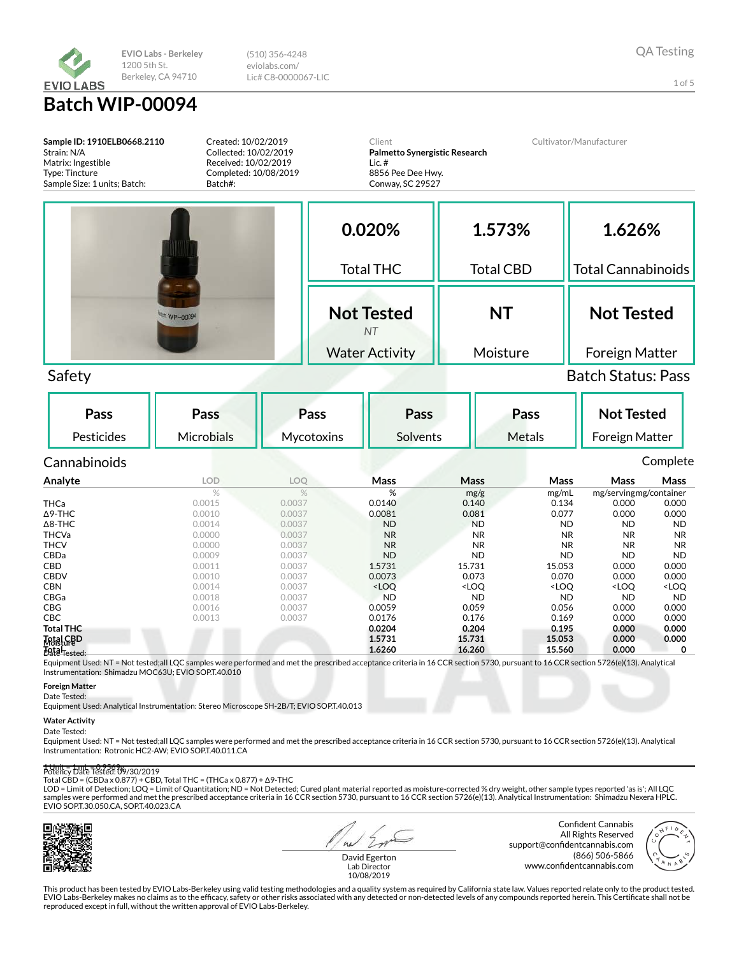

1 of 5

**Sample ID: 1910ELB0668.2110** Strain: N/A Matrix: Ingestible Type: Tincture Sample Size: 1 units; Batch: Created: 10/02/2019 Collected: 10/02/2019 Received: 10/02/2019 Completed: 10/08/2019 Batch#: Client **Palmetto Synergistic Research** Lic. # 8856 Pee Dee Hwy. Conway, SC 29527 Cultivator/Manufacturer **0.020%** Total THC **Not Tested** *NT* Water Activity **1.573%** Total CBD **NT** Moisture **1.626%** Total Cannabinoids **Not Tested** Foreign Matter Safety Batch Status: Pass **Pass** Pesticides **Pass Microbials Pass Mycotoxins Pass** Solvents **Pass** Metals **Not Tested** Foreign Matter Cannabinoids Complete **Analyte LOD LOQ Mass Mass Mass Mass Mass** % % mg/g mg/mL mg/servingmg/container<br>
0.0140 0.140 0.134 0.000 0.000 **THCa** 0.0015 0.0037 0.0140 0.140 0.134 0.000 0.000  $\Delta$ 9-THC 0.000 0.0010 0.0037 0.0081 0.081 0.077 0.000 0.000 Δ8-THC 0.0014 0.0037 ND ND ND ND ND

THCVa 0.0000 0.0037 NR NR NR NR NR **THCV 0.0000 0.0037 NR NR NR NR NR** CBDa 0.0009 0.0037 ND ND ND ND ND **CBD** 0.0011 0.0037 **1.5731 15.731 15.053 0.000 0.000** CBDV 0.0010 0.0037 0.0073 0.073 0.070 0.000 0.000 CBN 0.0014 0.0037 <LOQ <LOQ <LOQ <LOQ <LOQ CBGa 0.0018 0.0037 ND ND ND ND ND **CBG** 0.0016 0.0059 0.059 0.056 0.000 0.000 **CBC** 0.0013 0.0037 0.0176 0.176 0.176 0.169 0.000 0.000 **Total THC 0.0204 0.204 0.195 0.000 0.000 Total CBD 1.5731 15.731 15.053 0.000 0.000 Total 1.6260 16.260 15.560 0.000 0** *Matal GBD* Data<sub>Tested</sub>

Equipment Used: NT = Not tested;all LQC samples were performed and met the prescribed acceptance criteria in 16 CCR section 5730, pursuant to 16 CCR section 5726(e)(13). Analytical Instrumentation: Shimadzu MOC63U; EVIO SOP.T.40.010

**Foreign Matter**

Date Tested:

Equipment Used: Analytical Instrumentation: Stereo Microscope SH-2B/T; EVIO SOP.T.40.013

#### **Water Activity**

Date Tested:

Equipment Used: NT = Not tested;all LQC samples were performed and met the prescribed acceptance criteria in 16 CCR section 5730, pursuant to 16 CCR section 5726(e)(13). Analytical Instrumentation: Rotronic HC2-AW; EVIO SOP.T.40.011.CA

#### 1 Unit = 1 mL = 0.9569g Potency Date Tested: 09/30/2019

Total CBD = (CBDa x 0.877) + CBD, Total THC = (THCa x 0.877) + Δ9-THC

LOD = Limit of Detection; LOQ = Limit of Quantitation; ND = Not Detected; Cured plant material reported as moisture-corrected % dry weight, other sample types reported 'as is'; All LQC<br>samples were performed and met the pr EVIO SOP.T.30.050.CA, SOP.T.40.023.CA



 $a<sub>1</sub>$ 

Confident Cannabis All Rights Reserved support@confidentcannabis.com (866) 506-5866 www.confidentcannabis.com



David Egerton Lab Director 10/08/2019

This product has been tested by EVIO Labs-Berkeley using valid testing methodologies and a quality system as required by California state law. Values reported relate only to the product tested. EVIO Labs-Berkeley makes no claims as to the efficacy, safety or other risks associated with any detected or non-detected levels of any compounds reported herein. This Certificate shall not be reproduced except in full, without the written approval of EVIO Labs-Berkeley.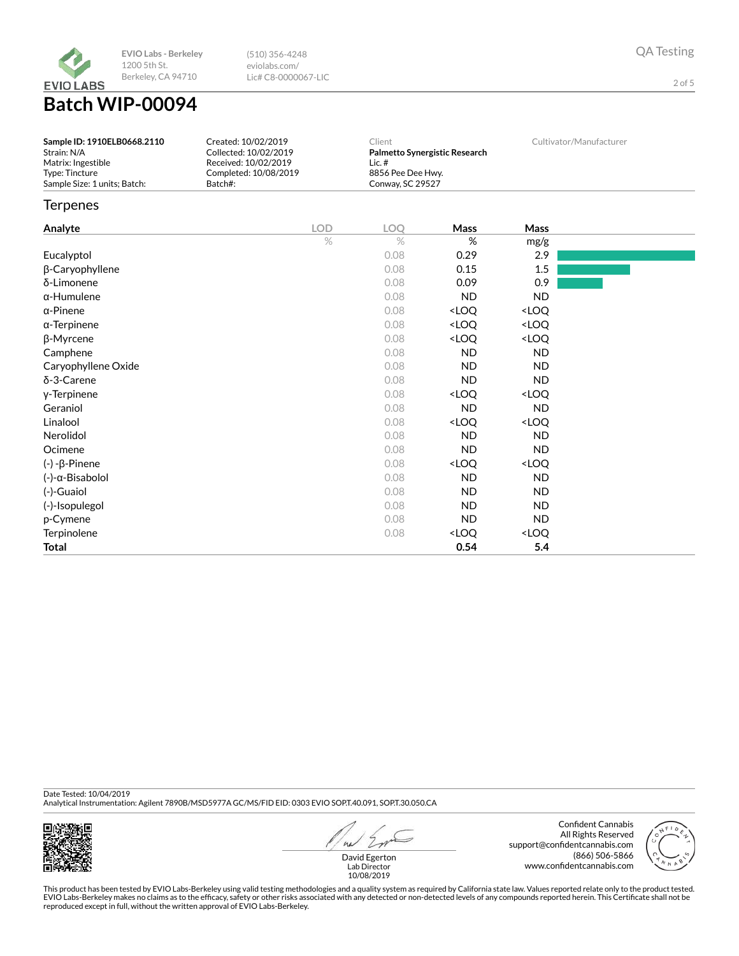

2 of 5

# **Batch WIP-00094**

| Sample ID: 1910ELB0668.2110<br>Strain: N/A | Created: 10/02/2019<br>Collected: 10/02/2019 | Client<br>Palmetto Synergistic Research | Cultivator/Manufacturer |
|--------------------------------------------|----------------------------------------------|-----------------------------------------|-------------------------|
| Matrix: Ingestible                         | Received: 10/02/2019                         | Lic. #                                  |                         |
| Type: Tincture                             | Completed: 10/08/2019                        | 8856 Pee Dee Hwy.                       |                         |
| Sample Size: 1 units: Batch:               | Batch#:                                      | Conwav. SC 29527                        |                         |

### **Terpenes**

| <b>Analyte</b>              | <b>LOD</b> | LOQ  | Mass                                                     | Mass                         |  |
|-----------------------------|------------|------|----------------------------------------------------------|------------------------------|--|
|                             | $\%$       | $\%$ | $\%$                                                     | mg/g                         |  |
| Eucalyptol                  |            | 0.08 | 0.29                                                     | 2.9                          |  |
| β-Caryophyllene             |            | 0.08 | 0.15                                                     | 1.5                          |  |
| δ-Limonene                  |            | 0.08 | 0.09                                                     | 0.9                          |  |
| $\alpha$ -Humulene          |            | 0.08 | <b>ND</b>                                                | <b>ND</b>                    |  |
| $\alpha$ -Pinene            |            | 0.08 | <loq< td=""><td><loq< td=""><td></td></loq<></td></loq<> | <loq< td=""><td></td></loq<> |  |
| $\alpha$ -Terpinene         |            | 0.08 | <loq< td=""><td><loq< td=""><td></td></loq<></td></loq<> | <loq< td=""><td></td></loq<> |  |
| β-Myrcene                   |            | 0.08 | <loq< td=""><td><loq< td=""><td></td></loq<></td></loq<> | <loq< td=""><td></td></loq<> |  |
| Camphene                    |            | 0.08 | <b>ND</b>                                                | ND.                          |  |
| Caryophyllene Oxide         |            | 0.08 | <b>ND</b>                                                | ND.                          |  |
| δ-3-Carene                  |            | 0.08 | <b>ND</b>                                                | ND.                          |  |
| y-Terpinene                 |            | 0.08 | <loq< td=""><td><loq< td=""><td></td></loq<></td></loq<> | <loq< td=""><td></td></loq<> |  |
| Geraniol                    |            | 0.08 | <b>ND</b>                                                | <b>ND</b>                    |  |
| Linalool                    |            | 0.08 | <loq< td=""><td><loq< td=""><td></td></loq<></td></loq<> | <loq< td=""><td></td></loq<> |  |
| Nerolidol                   |            | 0.08 | <b>ND</b>                                                | ND.                          |  |
| Ocimene                     |            | 0.08 | <b>ND</b>                                                | ND.                          |  |
| $(-) - \beta$ -Pinene       |            | 0.08 | <loq< td=""><td><loq< td=""><td></td></loq<></td></loq<> | <loq< td=""><td></td></loq<> |  |
| $(-)$ - $\alpha$ -Bisabolol |            | 0.08 | <b>ND</b>                                                | ND.                          |  |
| (-)-Guaiol                  |            | 0.08 | <b>ND</b>                                                | ND.                          |  |
| (-)-Isopulegol              |            | 0.08 | ND.                                                      | ND.                          |  |
| p-Cymene                    |            | 0.08 | <b>ND</b>                                                | ND.                          |  |
| Terpinolene                 |            | 0.08 | <loq< td=""><td><loq< td=""><td></td></loq<></td></loq<> | <loq< td=""><td></td></loq<> |  |
| <b>Total</b>                |            |      | 0.54                                                     | 5.4                          |  |

Date Tested: 10/04/2019

Analytical Instrumentation: Agilent 7890B/MSD5977A GC/MS/FID EID: 0303 EVIO SOP.T.40.091, SOP.T.30.050.CA



 $41$ 

Confident Cannabis All Rights Reserved support@confidentcannabis.com (866) 506-5866 www.confidentcannabis.com



David Egerton Lab Director 10/08/2019

This product has been tested by EVIO Labs-Berkeley using valid testing methodologies and a quality system as required by California state law. Values reported relate only to the product tested.<br>EVIO Labs-Berkeley makes no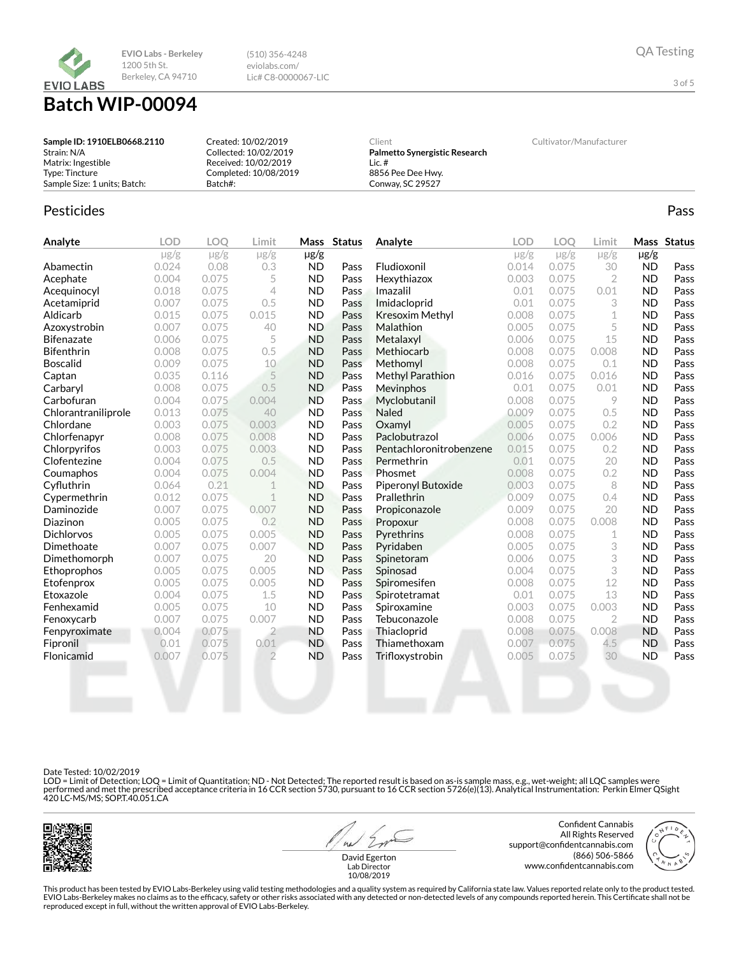

# **Batch WIP-00094**

| Sample ID: 1910ELB0668.2110  | Created: 10/02/2019   | Client                        | Cultivator/Manufacturer |
|------------------------------|-----------------------|-------------------------------|-------------------------|
| Strain: N/A                  | Collected: 10/02/2019 | Palmetto Synergistic Research |                         |
| Matrix: Ingestible           | Received: 10/02/2019  | Lic. #                        |                         |
| Tvpe: Tincture               | Completed: 10/08/2019 | 8856 Pee Dee Hwy.             |                         |
| Sample Size: 1 units: Batch: | Batch#:               | Conway, SC 29527              |                         |

## Pesticides **Passage Community Community Community** Passes and the extension of the extension of the extension of the extension of the extension of the extension of the extension of the extension of the extension of the ext

| Analyte             | <b>LOD</b> | <b>LOO</b> | Limit          | Mass      | <b>Status</b> | Analyte                 | <b>LOD</b> | <b>LOO</b> | Limit          |           | Mass Status |
|---------------------|------------|------------|----------------|-----------|---------------|-------------------------|------------|------------|----------------|-----------|-------------|
|                     | $\mu$ g/g  | $\mu$ g/g  | $\mu$ g/g      | $\mu$ g/g |               |                         | $\mu$ g/g  | $\mu$ g/g  | $\mu$ g/g      | $\mu$ g/g |             |
| Abamectin           | 0.024      | 0.08       | 0.3            | <b>ND</b> | Pass          | Fludioxonil             | 0.014      | 0.075      | 30             | <b>ND</b> | Pass        |
| Acephate            | 0.004      | 0.075      | 5              | <b>ND</b> | Pass          | Hexythiazox             | 0.003      | 0.075      | $\overline{2}$ | <b>ND</b> | Pass        |
| Acequinocyl         | 0.018      | 0.075      | $\overline{4}$ | <b>ND</b> | Pass          | Imazalil                | 0.01       | 0.075      | 0.01           | <b>ND</b> | Pass        |
| Acetamiprid         | 0.007      | 0.075      | 0.5            | <b>ND</b> | Pass          | Imidacloprid            | 0.01       | 0.075      | 3              | <b>ND</b> | Pass        |
| Aldicarb            | 0.015      | 0.075      | 0.015          | <b>ND</b> | Pass          | <b>Kresoxim Methyl</b>  | 0.008      | 0.075      | 1              | <b>ND</b> | Pass        |
| Azoxystrobin        | 0.007      | 0.075      | 40             | <b>ND</b> | Pass          | Malathion               | 0.005      | 0.075      | 5              | <b>ND</b> | Pass        |
| <b>Bifenazate</b>   | 0.006      | 0.075      | 5              | <b>ND</b> | Pass          | Metalaxyl               | 0.006      | 0.075      | 15             | <b>ND</b> | Pass        |
| <b>Bifenthrin</b>   | 0.008      | 0.075      | 0.5            | <b>ND</b> | Pass          | Methiocarb              | 0.008      | 0.075      | 0.008          | <b>ND</b> | Pass        |
| <b>Boscalid</b>     | 0.009      | 0.075      | 10             | <b>ND</b> | Pass          | Methomyl                | 0.008      | 0.075      | 0.1            | <b>ND</b> | Pass        |
| Captan              | 0.035      | 0.116      | 5              | <b>ND</b> | Pass          | <b>Methyl Parathion</b> | 0.016      | 0.075      | 0.016          | <b>ND</b> | Pass        |
| Carbaryl            | 0.008      | 0.075      | 0.5            | <b>ND</b> | Pass          | <b>Mevinphos</b>        | 0.01       | 0.075      | 0.01           | <b>ND</b> | Pass        |
| Carbofuran          | 0.004      | 0.075      | 0.004          | <b>ND</b> | Pass          | Myclobutanil            | 0.008      | 0.075      | 9              | <b>ND</b> | Pass        |
| Chlorantraniliprole | 0.013      | 0.075      | 40             | <b>ND</b> | Pass          | <b>Naled</b>            | 0.009      | 0.075      | 0.5            | <b>ND</b> | Pass        |
| Chlordane           | 0.003      | 0.075      | 0.003          | <b>ND</b> | Pass          | Oxamvl                  | 0.005      | 0.075      | 0.2            | <b>ND</b> | Pass        |
| Chlorfenapyr        | 0.008      | 0.075      | 0.008          | <b>ND</b> | Pass          | Paclobutrazol           | 0.006      | 0.075      | 0.006          | <b>ND</b> | Pass        |
| Chlorpyrifos        | 0.003      | 0.075      | 0.003          | <b>ND</b> | Pass          | Pentachloronitrobenzene | 0.015      | 0.075      | 0.2            | <b>ND</b> | Pass        |
| Clofentezine        | 0.004      | 0.075      | 0.5            | <b>ND</b> | Pass          | Permethrin              | 0.01       | 0.075      | 20             | <b>ND</b> | Pass        |
| Coumaphos           | 0.004      | 0.075      | 0.004          | <b>ND</b> | Pass          | Phosmet                 | 0.008      | 0.075      | 0.2            | <b>ND</b> | Pass        |
| Cyfluthrin          | 0.064      | 0.21       | 1              | <b>ND</b> | Pass          | Piperonyl Butoxide      | 0.003      | 0.075      | 8              | <b>ND</b> | Pass        |
| Cypermethrin        | 0.012      | 0.075      | 1              | <b>ND</b> | Pass          | Prallethrin             | 0.009      | 0.075      | 0.4            | <b>ND</b> | Pass        |
| Daminozide          | 0.007      | 0.075      | 0.007          | <b>ND</b> | Pass          | Propiconazole           | 0.009      | 0.075      | 20             | <b>ND</b> | Pass        |
| Diazinon            | 0.005      | 0.075      | 0.2            | <b>ND</b> | Pass          | Propoxur                | 0.008      | 0.075      | 0.008          | <b>ND</b> | Pass        |
| <b>Dichlorvos</b>   | 0.005      | 0.075      | 0.005          | <b>ND</b> | Pass          | Pyrethrins              | 0.008      | 0.075      | 1              | <b>ND</b> | Pass        |
| Dimethoate          | 0.007      | 0.075      | 0.007          | <b>ND</b> | Pass          | Pyridaben               | 0.005      | 0.075      | 3              | <b>ND</b> | Pass        |
| Dimethomorph        | 0.007      | 0.075      | 20             | <b>ND</b> | Pass          | Spinetoram              | 0.006      | 0.075      | 3              | <b>ND</b> | Pass        |
| Ethoprophos         | 0.005      | 0.075      | 0.005          | <b>ND</b> | Pass          | Spinosad                | 0.004      | 0.075      | 3              | <b>ND</b> | Pass        |
| Etofenprox          | 0.005      | 0.075      | 0.005          | <b>ND</b> | Pass          | Spiromesifen            | 0.008      | 0.075      | 12             | <b>ND</b> | Pass        |
| Etoxazole           | 0.004      | 0.075      | 1.5            | <b>ND</b> | Pass          | Spirotetramat           | 0.01       | 0.075      | 13             | <b>ND</b> | Pass        |
| Fenhexamid          | 0.005      | 0.075      | 10             | <b>ND</b> | Pass          | Spiroxamine             | 0.003      | 0.075      | 0.003          | <b>ND</b> | Pass        |
| Fenoxycarb          | 0.007      | 0.075      | 0.007          | <b>ND</b> | Pass          | Tebuconazole            | 0.008      | 0.075      | 2              | <b>ND</b> | Pass        |
| Fenpyroximate       | 0.004      | 0.075      | 2              | <b>ND</b> | Pass          | Thiacloprid             | 0.008      | 0.075      | 0.008          | <b>ND</b> | Pass        |
| Fipronil            | 0.01       | 0.075      | 0.01           | <b>ND</b> | Pass          | Thiamethoxam            | 0.007      | 0.075      | 4.5            | <b>ND</b> | Pass        |
| Flonicamid          | 0.007      | 0.075      | $\overline{2}$ | <b>ND</b> | Pass          | Trifloxystrobin         | 0.005      | 0.075      | 30             | <b>ND</b> | Pass        |
|                     |            |            |                |           |               |                         |            |            |                |           |             |

Date Tested: 10/02/2019

LOD = Limit of Detection; LOQ = Limit of Quantitation; ND - Not Detected; The reported result is based on as-is sample mass, e.g., wet-weight; all LQC samples were<br>performed and met the prescribed acceptance criteria in 16



 $41$ 

Confident Cannabis All Rights Reserved support@confidentcannabis.com (866) 506-5866 www.confidentcannabis.com



David Egerton Lab Director 10/08/2019

This product has been tested by EVIO Labs-Berkeley using valid testing methodologies and a quality system as required by California state law. Values reported relate only to the product tested. EVIO Labs-Berkeley makes no claims as to the efficacy, safety or other risks associated with any detected or non-detected levels of any compounds reported herein. This Certificate shall not be<br>reproduced except in full, wi

3 of 5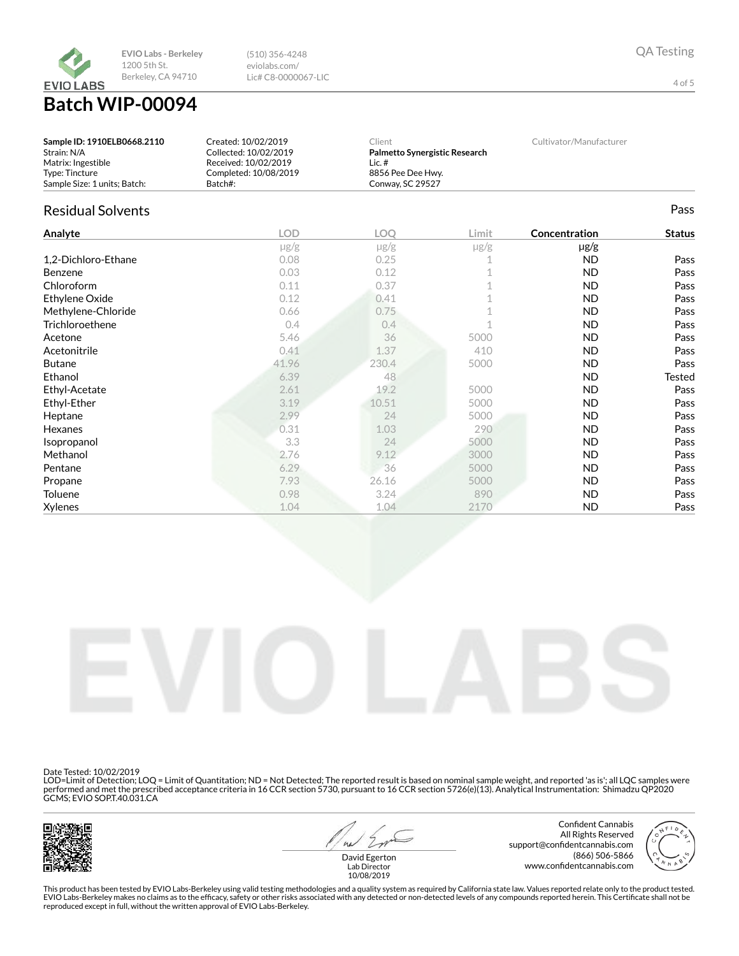

**Batch W** 

| <b>/IP-00094</b> |  |  |
|------------------|--|--|
|                  |  |  |

(510) 356-4248 eviolabs.com/ Lic# C8-0000067-LIC

| Sample ID: 1910ELB0668.2110  | Created: 10/02/2019   | Client                        | Cultivator/Manufacturer |
|------------------------------|-----------------------|-------------------------------|-------------------------|
| Strain: N/A                  | Collected: 10/02/2019 | Palmetto Synergistic Research |                         |
| Matrix: Ingestible           | Received: 10/02/2019  | Lic. #                        |                         |
| Type: Tincture               | Completed: 10/08/2019 | 8856 Pee Dee Hwy.             |                         |
| Sample Size: 1 units: Batch: | Batch#:               | Conwav. SC 29527              |                         |

# Residual Solvents **Pass**

| Analyte             | <b>LOD</b> | LOQ       | Limit     | Concentration | <b>Status</b> |
|---------------------|------------|-----------|-----------|---------------|---------------|
|                     | $\mu$ g/g  | $\mu$ g/g | $\mu$ g/g | $\mu$ g/g     |               |
| 1,2-Dichloro-Ethane | 0.08       | 0.25      |           | <b>ND</b>     | Pass          |
| Benzene             | 0.03       | 0.12      |           | <b>ND</b>     | Pass          |
| Chloroform          | 0.11       | 0.37      |           | ND            | Pass          |
| Ethylene Oxide      | 0.12       | 0.41      |           | ND.           | Pass          |
| Methylene-Chloride  | 0.66       | 0.75      |           | ND            | Pass          |
| Trichloroethene     | 0.4        | 0.4       |           | <b>ND</b>     | Pass          |
| Acetone             | 5.46       | 36        | 5000      | <b>ND</b>     | Pass          |
| Acetonitrile        | 0.41       | 1.37      | 410       | ND            | Pass          |
| <b>Butane</b>       | 41.96      | 230.4     | 5000      | ND            | Pass          |
| Ethanol             | 6.39       | 48        |           | ND            | <b>Tested</b> |
| Ethyl-Acetate       | 2.61       | 19.2      | 5000      | ND            | Pass          |
| Ethyl-Ether         | 3.19       | 10.51     | 5000      | ND            | Pass          |
| Heptane             | 2.99       | 24        | 5000      | <b>ND</b>     | Pass          |
| Hexanes             | 0.31       | 1.03      | 290       | ND.           | Pass          |
| Isopropanol         | 3.3        | 24        | 5000      | ND            | Pass          |
| Methanol            | 2.76       | 9.12      | 3000      | <b>ND</b>     | Pass          |
| Pentane             | 6.29       | 36        | 5000      | ND.           | Pass          |
| Propane             | 7.93       | 26.16     | 5000      | ND.           | Pass          |
| Toluene             | 0.98       | 3.24      | 890       | <b>ND</b>     | Pass          |
| <b>Xylenes</b>      | 1.04       | 1.04      | 2170      | ND            | Pass          |



Date Tested: 10/02/2019

LOD=Limit of Detection; LOQ = Limit of Quantitation; ND = Not Detected; The reported result is based on nominal sample weight, and reported 'as is'; all LQC samples were<br>performed and met the prescribed acceptance criteria



 $41$ 

Confident Cannabis All Rights Reserved support@confidentcannabis.com (866) 506-5866 www.confidentcannabis.com



David Egerton Lab Director 10/08/2019

This product has been tested by EVIO Labs-Berkeley using valid testing methodologies and a quality system as required by California state law. Values reported relate only to the product tested. EVIO Labs-Berkeley makes no claims as to the efficacy, safety or other risks associated with any detected or non-detected levels of any compounds reported herein. This Certificate shall not be<br>reproduced except in full, wi

4 of 5